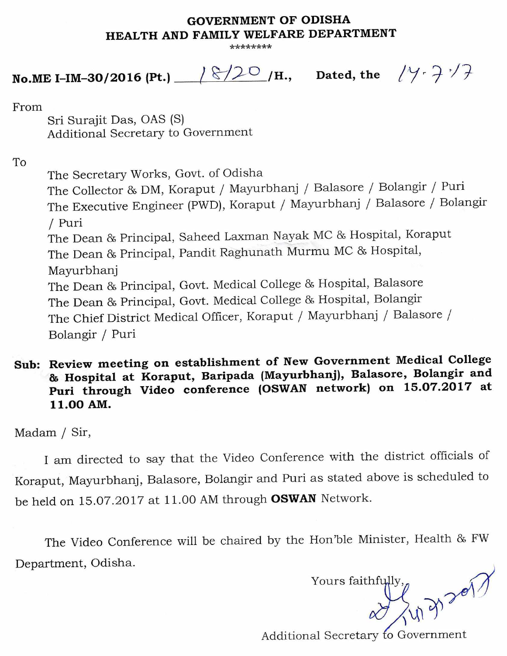## **GOVERNMENT OF ODISHA HEALTH AND FAMILY WELFARE DEPARTMENT**

**\*\*\*\*\*\*\*\*** 

**No.ME I-IM-30/2016 (Pt.)**  $\sqrt{8/20}$  /H., Dated, the  $\sqrt{4.27}$ 

From

Sri Surajit Das, OAS (S) Additional Secretary to Government

To

The Secretary Works, Govt. of Odisha The Collector & DM, Koraput / Mayurbhanj / Balasore / Bolangir / Puri The Executive Engineer (PWD), Koraput / Mayurbhanj / Balasore / Bolangir / Puri The Dean & Principal, Saheed Laxman Nayak MC & Hospital, Koraput The Dean & Principal, Pandit Raghunath Murmu MC & Hospital, Mayurbhanj The Dean & Principal, Govt. Medical College & Hospital, Balasore The Dean & Principal, Govt. Medical College & Hospital, Bolangir The Chief District Medical Officer, Koraput / Mayurbhanj / Balasore / Bolangir / Puri

## **Sub: Review meeting on establishment of New Government Medical College & Hospital at Koraput, Baripada (Mayurbhanj), Balasore, Bolangir and Puri through Video conference (OSWAN network) on 15.07.2017 at 11.00 AM.**

Madam / Sir,

I am directed to say that the Video Conference with the district officials of Koraput, Mayurbhanj, Balasore, Bolangir and Puri as stated above is scheduled to be held on 15.07.2017 at 11.00 AM through **OSWAN** Network.

The Video Conference will be chaired by the Hon'ble Minister, Health & FW Department, Odisha.

Yours faithfully  $\rightarrow$  301

Additional Secretary fo Government